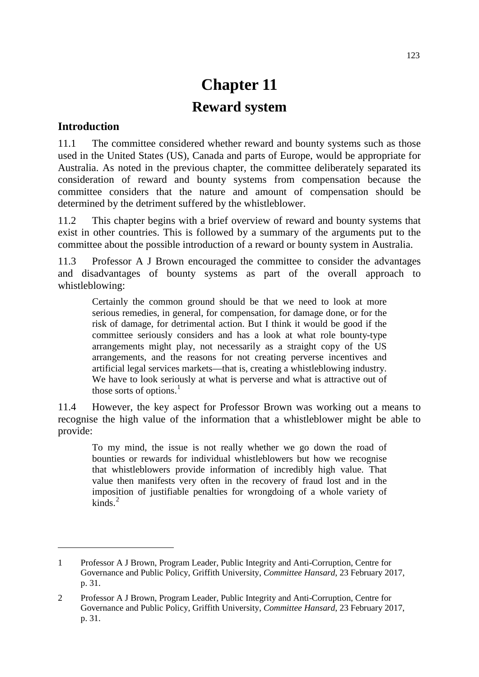# **Chapter 11 Reward system**

#### **Introduction**

-

11.1 The committee considered whether reward and bounty systems such as those used in the United States (US), Canada and parts of Europe, would be appropriate for Australia. As noted in the previous chapter, the committee deliberately separated its consideration of reward and bounty systems from compensation because the committee considers that the nature and amount of compensation should be determined by the detriment suffered by the whistleblower.

11.2 This chapter begins with a brief overview of reward and bounty systems that exist in other countries. This is followed by a summary of the arguments put to the committee about the possible introduction of a reward or bounty system in Australia.

11.3 Professor A J Brown encouraged the committee to consider the advantages and disadvantages of bounty systems as part of the overall approach to whistleblowing:

Certainly the common ground should be that we need to look at more serious remedies, in general, for compensation, for damage done, or for the risk of damage, for detrimental action. But I think it would be good if the committee seriously considers and has a look at what role bounty-type arrangements might play, not necessarily as a straight copy of the US arrangements, and the reasons for not creating perverse incentives and artificial legal services markets—that is, creating a whistleblowing industry. We have to look seriously at what is perverse and what is attractive out of those sorts of options. $<sup>1</sup>$  $<sup>1</sup>$  $<sup>1</sup>$ </sup>

11.4 However, the key aspect for Professor Brown was working out a means to recognise the high value of the information that a whistleblower might be able to provide:

To my mind, the issue is not really whether we go down the road of bounties or rewards for individual whistleblowers but how we recognise that whistleblowers provide information of incredibly high value. That value then manifests very often in the recovery of fraud lost and in the imposition of justifiable penalties for wrongdoing of a whole variety of  $kinds.<sup>2</sup>$  $kinds.<sup>2</sup>$  $kinds.<sup>2</sup>$ 

<span id="page-0-0"></span><sup>1</sup> Professor A J Brown, Program Leader, Public Integrity and Anti-Corruption, Centre for Governance and Public Policy, Griffith University, *Committee Hansard*, 23 February 2017, p. 31.

<span id="page-0-1"></span><sup>2</sup> Professor A J Brown, Program Leader, Public Integrity and Anti-Corruption, Centre for Governance and Public Policy, Griffith University, *Committee Hansard*, 23 February 2017, p. 31.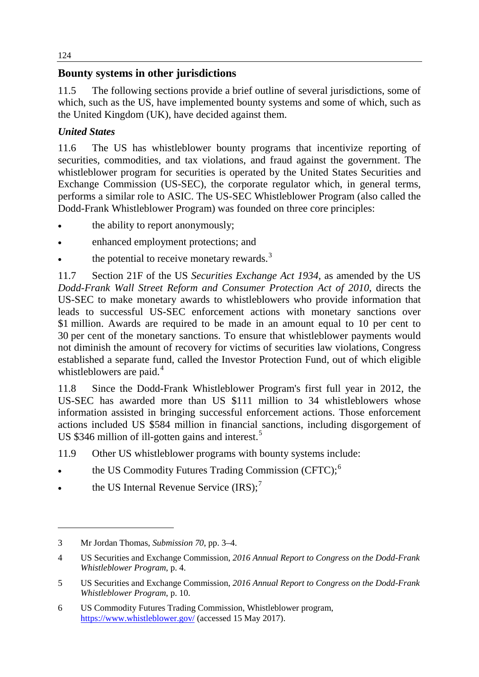## **Bounty systems in other jurisdictions**

11.5 The following sections provide a brief outline of several jurisdictions, some of which, such as the US, have implemented bounty systems and some of which, such as the United Kingdom (UK), have decided against them.

## *United States*

11.6 The US has whistleblower bounty programs that incentivize reporting of securities, commodities, and tax violations, and fraud against the government. The whistleblower program for securities is operated by the United States Securities and Exchange Commission (US-SEC), the corporate regulator which, in general terms, performs a similar role to ASIC. The US-SEC Whistleblower Program (also called the Dodd-Frank Whistleblower Program) was founded on three core principles:

- the ability to report anonymously;
- enhanced employment protections; and
- the potential to receive monetary rewards. $3$

11.7 Section 21F of the US *Securities Exchange Act 1934,* as amended by the US *Dodd-Frank Wall Street Reform and Consumer Protection Act of 2010*, directs the US-SEC to make monetary awards to whistleblowers who provide information that leads to successful US-SEC enforcement actions with monetary sanctions over \$1 million. Awards are required to be made in an amount equal to 10 per cent to 30 per cent of the monetary sanctions. To ensure that whistleblower payments would not diminish the amount of recovery for victims of securities law violations, Congress established a separate fund, called the Investor Protection Fund, out of which eligible whistleblowers are paid.<sup>[4](#page-1-1)</sup>

11.8 Since the Dodd-Frank Whistleblower Program's first full year in 2012, the US-SEC has awarded more than US \$111 million to 34 whistleblowers whose information assisted in bringing successful enforcement actions. Those enforcement actions included US \$584 million in financial sanctions, including disgorgement of US \$346 million of ill-gotten gains and interest.<sup>[5](#page-1-2)</sup>

11.9 Other US whistleblower programs with bounty systems include:

- the US Commodity Futures Trading Commission (CFTC);<sup>[6](#page-1-3)</sup>
- <span id="page-1-4"></span>• the US Internal Revenue Service  $(IRS)$ ;<sup>[7](#page-1-4)</sup>

<span id="page-1-0"></span><sup>3</sup> Mr Jordan Thomas, *Submission 70*, pp. 3–4.

<span id="page-1-1"></span><sup>4</sup> US Securities and Exchange Commission, *2016 Annual Report to Congress on the Dodd-Frank Whistleblower Program*, p. 4.

<span id="page-1-2"></span><sup>5</sup> US Securities and Exchange Commission, *2016 Annual Report to Congress on the Dodd-Frank Whistleblower Program*, p. 10.

<span id="page-1-3"></span><sup>6</sup> US Commodity Futures Trading Commission, Whistleblower program, <https://www.whistleblower.gov/> (accessed 15 May 2017).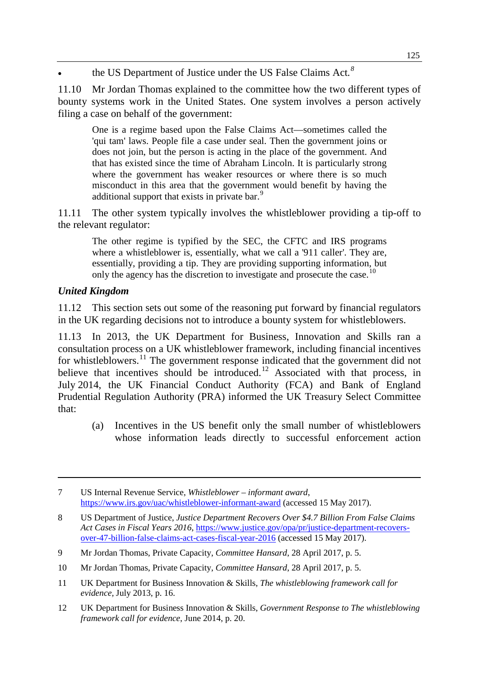• the US Department of Justice under the US False Claims Act.<sup>[8](#page-2-0)</sup>

11.10 Mr Jordan Thomas explained to the committee how the two different types of bounty systems work in the United States. One system involves a person actively filing a case on behalf of the government:

One is a regime based upon the False Claims Act—sometimes called the 'qui tam' laws. People file a case under seal. Then the government joins or does not join, but the person is acting in the place of the government. And that has existed since the time of Abraham Lincoln. It is particularly strong where the government has weaker resources or where there is so much misconduct in this area that the government would benefit by having the additional support that exists in private bar.<sup>[9](#page-2-1)</sup>

11.11 The other system typically involves the whistleblower providing a tip-off to the relevant regulator:

The other regime is typified by the SEC, the CFTC and IRS programs where a whistleblower is, essentially, what we call a '911 caller'. They are, essentially, providing a tip. They are providing supporting information, but only the agency has the discretion to investigate and prosecute the case.<sup>[10](#page-2-2)</sup>

### *United Kingdom*

-

11.12 This section sets out some of the reasoning put forward by financial regulators in the UK regarding decisions not to introduce a bounty system for whistleblowers.

11.13 In 2013, the UK Department for Business, Innovation and Skills ran a consultation process on a UK whistleblower framework, including financial incentives for whistleblowers.<sup>[11](#page-2-3)</sup> The government response indicated that the government did not believe that incentives should be introduced.<sup>[12](#page-2-4)</sup> Associated with that process, in July 2014, the UK Financial Conduct Authority (FCA) and Bank of England Prudential Regulation Authority (PRA) informed the UK Treasury Select Committee that:

(a) Incentives in the US benefit only the small number of whistleblowers whose information leads directly to successful enforcement action

- <span id="page-2-3"></span>11 UK Department for Business Innovation & Skills, *The whistleblowing framework call for evidence,* July 2013, p. 16.
- <span id="page-2-4"></span>12 UK Department for Business Innovation & Skills, *Government Response to The whistleblowing framework call for evidence*, June 2014, p. 20.

<sup>7</sup> US Internal Revenue Service, *Whistleblower – informant award*, <https://www.irs.gov/uac/whistleblower-informant-award> (accessed 15 May 2017).

<span id="page-2-0"></span><sup>8</sup> US Department of Justice, *Justice Department Recovers Over \$4.7 Billion From False Claims Act Cases in Fiscal Years 2016*, [https://www.justice.gov/opa/pr/justice-department-recovers](https://www.justice.gov/opa/pr/justice-department-recovers-over-47-billion-false-claims-act-cases-fiscal-year-2016)[over-47-billion-false-claims-act-cases-fiscal-year-2016](https://www.justice.gov/opa/pr/justice-department-recovers-over-47-billion-false-claims-act-cases-fiscal-year-2016) (accessed 15 May 2017).

<span id="page-2-1"></span><sup>9</sup> Mr Jordan Thomas, Private Capacity, *Committee Hansard*, 28 April 2017, p. 5.

<span id="page-2-2"></span><sup>10</sup> Mr Jordan Thomas, Private Capacity, *Committee Hansard*, 28 April 2017, p. 5.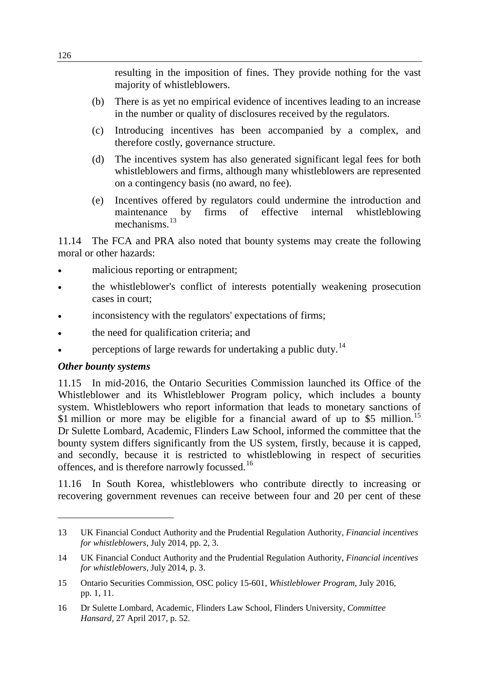resulting in the imposition of fines. They provide nothing for the vast majority of whistleblowers.

- (b) There is as yet no empirical evidence of incentives leading to an increase in the number or quality of disclosures received by the regulators.
- (c) Introducing incentives has been accompanied by a complex, and therefore costly, governance structure.
- (d) The incentives system has also generated significant legal fees for both whistleblowers and firms, although many whistleblowers are represented on a contingency basis (no award, no fee).
- (e) Incentives offered by regulators could undermine the introduction and maintenance by firms of effective internal whistleblowing mechanisms<sup>[13](#page-3-0)</sup>

11.14 The FCA and PRA also noted that bounty systems may create the following moral or other hazards:

- malicious reporting or entrapment:
- the whistleblower's conflict of interests potentially weakening prosecution cases in court;
- inconsistency with the regulators' expectations of firms;
- the need for qualification criteria; and
- perceptions of large rewards for undertaking a public duty.<sup>[14](#page-3-1)</sup>

#### *Other bounty systems*

-

11.15 In mid-2016, the Ontario Securities Commission launched its Office of the Whistleblower and its Whistleblower Program policy, which includes a bounty system. Whistleblowers who report information that leads to monetary sanctions of \$1 million or more may be eligible for a financial award of up to \$5 million.<sup>[15](#page-3-2)</sup> Dr Sulette Lombard, Academic, Flinders Law School, informed the committee that the bounty system differs significantly from the US system, firstly, because it is capped, and secondly, because it is restricted to whistleblowing in respect of securities offences, and is therefore narrowly focussed.<sup>[16](#page-3-3)</sup>

11.16 In South Korea, whistleblowers who contribute directly to increasing or recovering government revenues can receive between four and 20 per cent of these

<span id="page-3-0"></span><sup>13</sup> UK Financial Conduct Authority and the Prudential Regulation Authority, *Financial incentives for whistleblowers*, July 2014, pp. 2, 3.

<span id="page-3-1"></span><sup>14</sup> UK Financial Conduct Authority and the Prudential Regulation Authority, *Financial incentives for whistleblowers*, July 2014, p. 3.

<span id="page-3-2"></span><sup>15</sup> Ontario Securities Commission, OSC policy 15-601, *Whistleblower Program*, July 2016, pp. 1, 11.

<span id="page-3-3"></span><sup>16</sup> Dr Sulette Lombard, Academic, Flinders Law School, Flinders University, *Committee Hansard,* 27 April 2017, p. 52.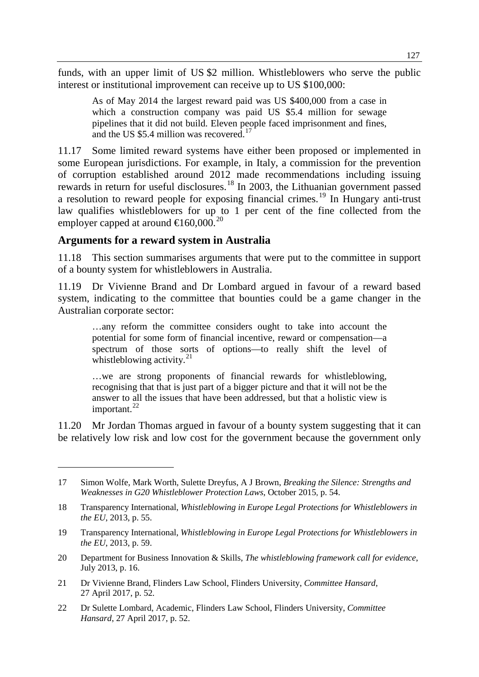funds, with an upper limit of US \$2 million. Whistleblowers who serve the public interest or institutional improvement can receive up to US \$100,000:

As of May 2014 the largest reward paid was US \$400,000 from a case in which a construction company was paid US \$5.4 million for sewage pipelines that it did not build. Eleven people faced imprisonment and fines, and the US \$5.4 million was recovered.<sup>[17](#page-4-0)</sup>

11.17 Some limited reward systems have either been proposed or implemented in some European jurisdictions. For example, in Italy, a commission for the prevention of corruption established around 2012 made recommendations including issuing rewards in return for useful disclosures.<sup>[18](#page-4-1)</sup> In 2003, the Lithuanian government passed a resolution to reward people for exposing financial crimes.<sup>[19](#page-4-2)</sup> In Hungary anti-trust law qualifies whistleblowers for up to 1 per cent of the fine collected from the employer capped at around  $\text{E}$  60.000.<sup>[20](#page-4-3)</sup>

### **Arguments for a reward system in Australia**

-

11.18 This section summarises arguments that were put to the committee in support of a bounty system for whistleblowers in Australia.

11.19 Dr Vivienne Brand and Dr Lombard argued in favour of a reward based system, indicating to the committee that bounties could be a game changer in the Australian corporate sector:

…any reform the committee considers ought to take into account the potential for some form of financial incentive, reward or compensation—a spectrum of those sorts of options—to really shift the level of whistleblowing activity. $21$ 

…we are strong proponents of financial rewards for whistleblowing, recognising that that is just part of a bigger picture and that it will not be the answer to all the issues that have been addressed, but that a holistic view is important. $^{22}$  $^{22}$  $^{22}$ 

11.20 Mr Jordan Thomas argued in favour of a bounty system suggesting that it can be relatively low risk and low cost for the government because the government only

- <span id="page-4-4"></span>21 Dr Vivienne Brand, Flinders Law School, Flinders University, *Committee Hansard*, 27 April 2017, p. 52.
- <span id="page-4-5"></span>22 Dr Sulette Lombard, Academic, Flinders Law School, Flinders University, *Committee Hansard*, 27 April 2017, p. 52.

<span id="page-4-0"></span><sup>17</sup> Simon Wolfe, Mark Worth, Sulette Dreyfus, A J Brown, *Breaking the Silence: Strengths and Weaknesses in G20 Whistleblower Protection Laws*, October 2015, p. 54.

<span id="page-4-1"></span><sup>18</sup> Transparency International, *Whistleblowing in Europe Legal Protections for Whistleblowers in the EU*, 2013, p. 55.

<span id="page-4-2"></span><sup>19</sup> Transparency International, *Whistleblowing in Europe Legal Protections for Whistleblowers in the EU*, 2013, p. 59.

<span id="page-4-3"></span><sup>20</sup> Department for Business Innovation & Skills, *The whistleblowing framework call for evidence*, July 2013, p. 16.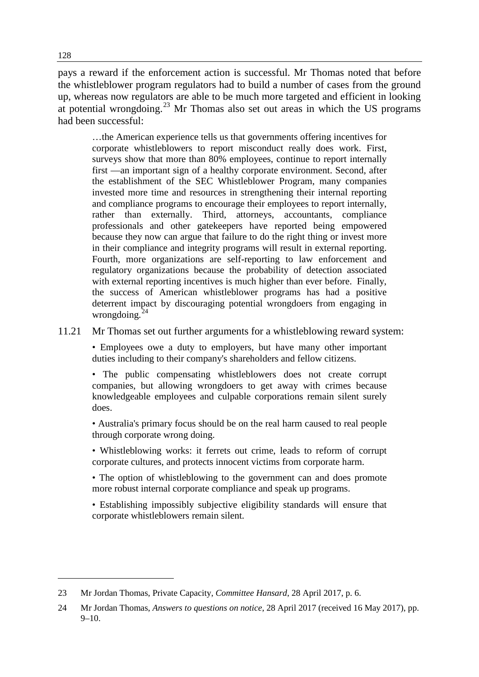pays a reward if the enforcement action is successful. Mr Thomas noted that before the whistleblower program regulators had to build a number of cases from the ground up, whereas now regulators are able to be much more targeted and efficient in looking at potential wrongdoing.<sup>[23](#page-5-0)</sup> Mr Thomas also set out areas in which the US programs had been successful:

…the American experience tells us that governments offering incentives for corporate whistleblowers to report misconduct really does work. First, surveys show that more than 80% employees, continue to report internally first —an important sign of a healthy corporate environment. Second, after the establishment of the SEC Whistleblower Program, many companies invested more time and resources in strengthening their internal reporting and compliance programs to encourage their employees to report internally, rather than externally. Third, attorneys, accountants, compliance professionals and other gatekeepers have reported being empowered because they now can argue that failure to do the right thing or invest more in their compliance and integrity programs will result in external reporting. Fourth, more organizations are self-reporting to law enforcement and regulatory organizations because the probability of detection associated with external reporting incentives is much higher than ever before. Finally, the success of American whistleblower programs has had a positive deterrent impact by discouraging potential wrongdoers from engaging in wrongdoing. $^{24}$  $^{24}$  $^{24}$ 

11.21 Mr Thomas set out further arguments for a whistleblowing reward system:

• Employees owe a duty to employers, but have many other important duties including to their company's shareholders and fellow citizens.

• The public compensating whistleblowers does not create corrupt companies, but allowing wrongdoers to get away with crimes because knowledgeable employees and culpable corporations remain silent surely does.

• Australia's primary focus should be on the real harm caused to real people through corporate wrong doing.

• Whistleblowing works: it ferrets out crime, leads to reform of corrupt corporate cultures, and protects innocent victims from corporate harm.

• The option of whistleblowing to the government can and does promote more robust internal corporate compliance and speak up programs.

• Establishing impossibly subjective eligibility standards will ensure that corporate whistleblowers remain silent.

<span id="page-5-0"></span><sup>23</sup> Mr Jordan Thomas, Private Capacity, *Committee Hansard*, 28 April 2017, p. 6.

<span id="page-5-1"></span><sup>24</sup> Mr Jordan Thomas, *Answers to questions on notice*, 28 April 2017 (received 16 May 2017), pp. 9–10.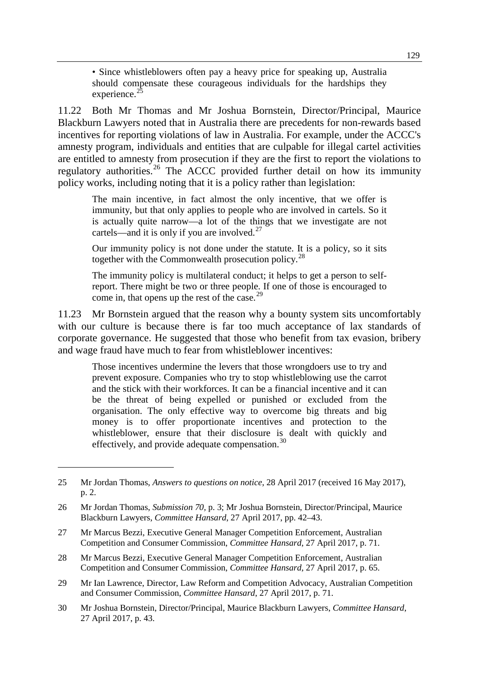• Since whistleblowers often pay a heavy price for speaking up, Australia should compensate these courageous individuals for the hardships they experience.<sup>[25](#page-6-0)</sup>

11.22 Both Mr Thomas and Mr Joshua Bornstein, Director/Principal, Maurice Blackburn Lawyers noted that in Australia there are precedents for non-rewards based incentives for reporting violations of law in Australia. For example, under the ACCC's amnesty program, individuals and entities that are culpable for illegal cartel activities are entitled to amnesty from prosecution if they are the first to report the violations to regulatory authorities.<sup>[26](#page-6-1)</sup> The ACCC provided further detail on how its immunity policy works, including noting that it is a policy rather than legislation:

The main incentive, in fact almost the only incentive, that we offer is immunity, but that only applies to people who are involved in cartels. So it is actually quite narrow—a lot of the things that we investigate are not cartels—and it is only if you are involved.<sup>[27](#page-6-2)</sup>

Our immunity policy is not done under the statute. It is a policy, so it sits together with the Commonwealth prosecution policy.<sup>[28](#page-6-3)</sup>

The immunity policy is multilateral conduct; it helps to get a person to selfreport. There might be two or three people. If one of those is encouraged to come in, that opens up the rest of the case.<sup>[29](#page-6-4)</sup>

11.23 Mr Bornstein argued that the reason why a bounty system sits uncomfortably with our culture is because there is far too much acceptance of lax standards of corporate governance. He suggested that those who benefit from tax evasion, bribery and wage fraud have much to fear from whistleblower incentives:

Those incentives undermine the levers that those wrongdoers use to try and prevent exposure. Companies who try to stop whistleblowing use the carrot and the stick with their workforces. It can be a financial incentive and it can be the threat of being expelled or punished or excluded from the organisation. The only effective way to overcome big threats and big money is to offer proportionate incentives and protection to the whistleblower, ensure that their disclosure is dealt with quickly and effectively, and provide adequate compensation.<sup>[30](#page-6-5)</sup>

<span id="page-6-0"></span><sup>25</sup> Mr Jordan Thomas, *Answers to questions on notice*, 28 April 2017 (received 16 May 2017), p. 2.

<span id="page-6-1"></span><sup>26</sup> Mr Jordan Thomas, *Submission 70,* p. 3; Mr Joshua Bornstein, Director/Principal, Maurice Blackburn Lawyers, *Committee Hansard*, 27 April 2017, pp. 42–43.

<span id="page-6-2"></span><sup>27</sup> Mr Marcus Bezzi, Executive General Manager Competition Enforcement, Australian Competition and Consumer Commission, *Committee Hansard*, 27 April 2017, p. 71.

<span id="page-6-3"></span><sup>28</sup> Mr Marcus Bezzi, Executive General Manager Competition Enforcement, Australian Competition and Consumer Commission, *Committee Hansard*, 27 April 2017, p. 65.

<span id="page-6-4"></span><sup>29</sup> Mr Ian Lawrence, Director, Law Reform and Competition Advocacy, Australian Competition and Consumer Commission, *Committee Hansard*, 27 April 2017, p. 71.

<span id="page-6-5"></span><sup>30</sup> Mr Joshua Bornstein, Director/Principal, Maurice Blackburn Lawyers, *Committee Hansard*, 27 April 2017, p. 43.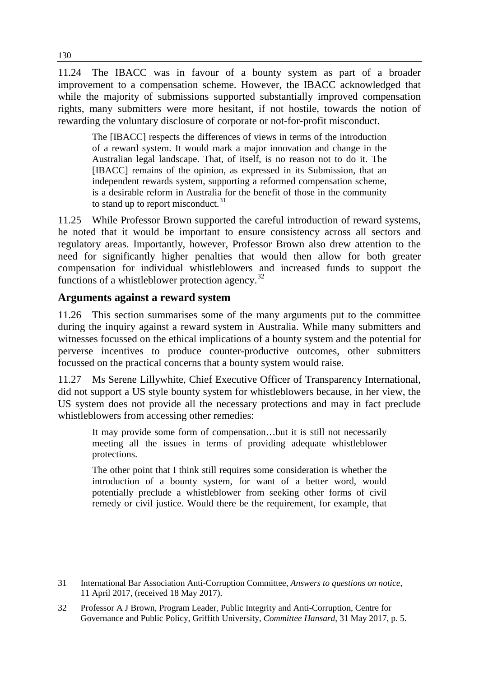11.24 The IBACC was in favour of a bounty system as part of a broader improvement to a compensation scheme. However, the IBACC acknowledged that while the majority of submissions supported substantially improved compensation rights, many submitters were more hesitant, if not hostile, towards the notion of rewarding the voluntary disclosure of corporate or not-for-profit misconduct.

The [IBACC] respects the differences of views in terms of the introduction of a reward system. It would mark a major innovation and change in the Australian legal landscape. That, of itself, is no reason not to do it. The [IBACC] remains of the opinion, as expressed in its Submission, that an independent rewards system, supporting a reformed compensation scheme, is a desirable reform in Australia for the benefit of those in the community to stand up to report misconduct. $31$ 

11.25 While Professor Brown supported the careful introduction of reward systems, he noted that it would be important to ensure consistency across all sectors and regulatory areas. Importantly, however, Professor Brown also drew attention to the need for significantly higher penalties that would then allow for both greater compensation for individual whistleblowers and increased funds to support the functions of a whistleblower protection agency. $32$ 

### **Arguments against a reward system**

11.26 This section summarises some of the many arguments put to the committee during the inquiry against a reward system in Australia. While many submitters and witnesses focussed on the ethical implications of a bounty system and the potential for perverse incentives to produce counter-productive outcomes, other submitters focussed on the practical concerns that a bounty system would raise.

11.27 Ms Serene Lillywhite, Chief Executive Officer of Transparency International, did not support a US style bounty system for whistleblowers because, in her view, the US system does not provide all the necessary protections and may in fact preclude whistleblowers from accessing other remedies:

It may provide some form of compensation…but it is still not necessarily meeting all the issues in terms of providing adequate whistleblower protections.

The other point that I think still requires some consideration is whether the introduction of a bounty system, for want of a better word, would potentially preclude a whistleblower from seeking other forms of civil remedy or civil justice. Would there be the requirement, for example, that

<span id="page-7-0"></span><sup>31</sup> International Bar Association Anti-Corruption Committee, *Answers to questions on notice*, 11 April 2017, (received 18 May 2017).

<span id="page-7-1"></span><sup>32</sup> Professor A J Brown, Program Leader, Public Integrity and Anti-Corruption, Centre for Governance and Public Policy, Griffith University, *Committee Hansard*, 31 May 2017, p. 5.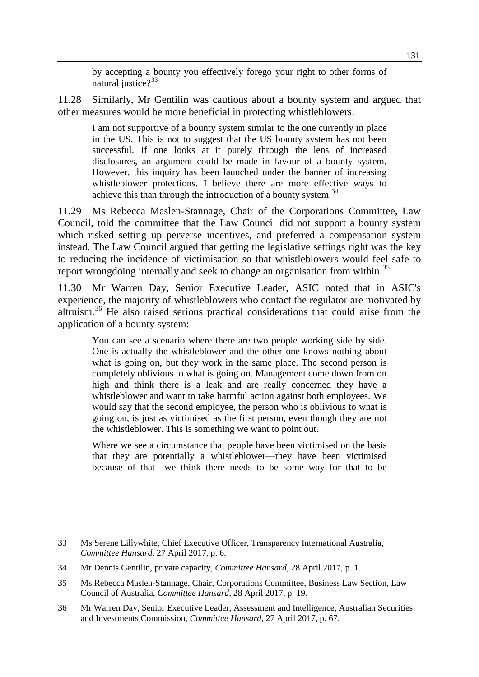by accepting a bounty you effectively forego your right to other forms of natural justice? $33$ 

11.28 Similarly, Mr Gentilin was cautious about a bounty system and argued that other measures would be more beneficial in protecting whistleblowers:

I am not supportive of a bounty system similar to the one currently in place in the US. This is not to suggest that the US bounty system has not been successful. If one looks at it purely through the lens of increased disclosures, an argument could be made in favour of a bounty system. However, this inquiry has been launched under the banner of increasing whistleblower protections. I believe there are more effective ways to achieve this than through the introduction of a bounty system.<sup>[34](#page-8-1)</sup>

11.29 Ms Rebecca Maslen-Stannage, Chair of the Corporations Committee, Law Council, told the committee that the Law Council did not support a bounty system which risked setting up perverse incentives, and preferred a compensation system instead. The Law Council argued that getting the legislative settings right was the key to reducing the incidence of victimisation so that whistleblowers would feel safe to report wrongdoing internally and seek to change an organisation from within.<sup>[35](#page-8-2)</sup>

11.30 Mr Warren Day, Senior Executive Leader, ASIC noted that in ASIC's experience, the majority of whistleblowers who contact the regulator are motivated by altruism.[36](#page-8-3) He also raised serious practical considerations that could arise from the application of a bounty system:

You can see a scenario where there are two people working side by side. One is actually the whistleblower and the other one knows nothing about what is going on, but they work in the same place. The second person is completely oblivious to what is going on. Management come down from on high and think there is a leak and are really concerned they have a whistleblower and want to take harmful action against both employees. We would say that the second employee, the person who is oblivious to what is going on, is just as victimised as the first person, even though they are not the whistleblower. This is something we want to point out.

Where we see a circumstance that people have been victimised on the basis that they are potentially a whistleblower—they have been victimised because of that—we think there needs to be some way for that to be

<span id="page-8-0"></span><sup>33</sup> Ms Serene Lillywhite, Chief Executive Officer, Transparency International Australia, *Committee Hansard*, 27 April 2017, p. 6.

<span id="page-8-1"></span><sup>34</sup> Mr Dennis Gentilin, private capacity, *Committee Hansard*, 28 April 2017, p. 1.

<span id="page-8-2"></span><sup>35</sup> Ms Rebecca Maslen-Stannage, Chair, Corporations Committee, Business Law Section, Law Council of Australia, *Committee Hansard*, 28 April 2017, p. 19.

<span id="page-8-3"></span><sup>36</sup> Mr Warren Day, Senior Executive Leader, Assessment and Intelligence, Australian Securities and Investments Commission, *Committee Hansard*, 27 April 2017, p. 67.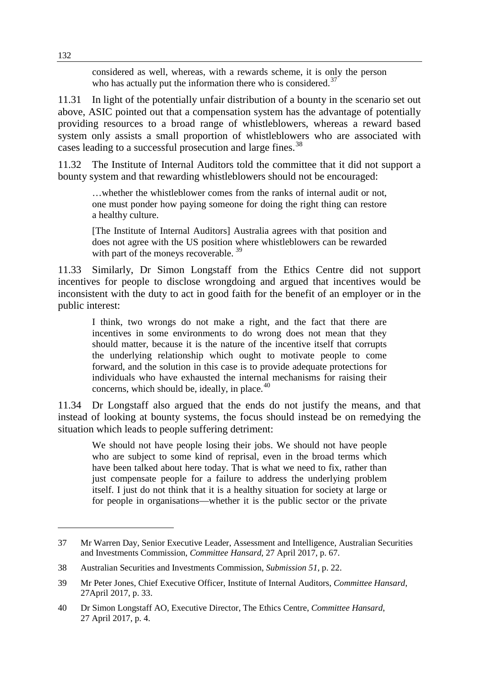considered as well, whereas, with a rewards scheme, it is only the person who has actually put the information there who is considered.<sup>[37](#page-9-0)</sup>

11.31 In light of the potentially unfair distribution of a bounty in the scenario set out above, ASIC pointed out that a compensation system has the advantage of potentially providing resources to a broad range of whistleblowers, whereas a reward based system only assists a small proportion of whistleblowers who are associated with cases leading to a successful prosecution and large fines.<sup>[38](#page-9-1)</sup>

11.32 The Institute of Internal Auditors told the committee that it did not support a bounty system and that rewarding whistleblowers should not be encouraged:

…whether the whistleblower comes from the ranks of internal audit or not, one must ponder how paying someone for doing the right thing can restore a healthy culture.

[The Institute of Internal Auditors] Australia agrees with that position and does not agree with the US position where whistleblowers can be rewarded with part of the moneys recoverable.<sup>[39](#page-9-2)</sup>

11.33 Similarly, Dr Simon Longstaff from the Ethics Centre did not support incentives for people to disclose wrongdoing and argued that incentives would be inconsistent with the duty to act in good faith for the benefit of an employer or in the public interest:

I think, two wrongs do not make a right, and the fact that there are incentives in some environments to do wrong does not mean that they should matter, because it is the nature of the incentive itself that corrupts the underlying relationship which ought to motivate people to come forward, and the solution in this case is to provide adequate protections for individuals who have exhausted the internal mechanisms for raising their concerns, which should be, ideally, in place.<sup>[40](#page-9-3)</sup>

11.34 Dr Longstaff also argued that the ends do not justify the means, and that instead of looking at bounty systems, the focus should instead be on remedying the situation which leads to people suffering detriment:

We should not have people losing their jobs. We should not have people who are subject to some kind of reprisal, even in the broad terms which have been talked about here today. That is what we need to fix, rather than just compensate people for a failure to address the underlying problem itself. I just do not think that it is a healthy situation for society at large or for people in organisations—whether it is the public sector or the private

<span id="page-9-0"></span><sup>37</sup> Mr Warren Day, Senior Executive Leader, Assessment and Intelligence, Australian Securities and Investments Commission, *Committee Hansard*, 27 April 2017, p. 67.

<span id="page-9-1"></span><sup>38</sup> Australian Securities and Investments Commission, *Submission 51*, p. 22.

<span id="page-9-2"></span><sup>39</sup> Mr Peter Jones, Chief Executive Officer, Institute of Internal Auditors, *Committee Hansard*, 27April 2017, p. 33.

<span id="page-9-3"></span><sup>40</sup> Dr Simon Longstaff AO, Executive Director, The Ethics Centre, *Committee Hansard*, 27 April 2017, p. 4.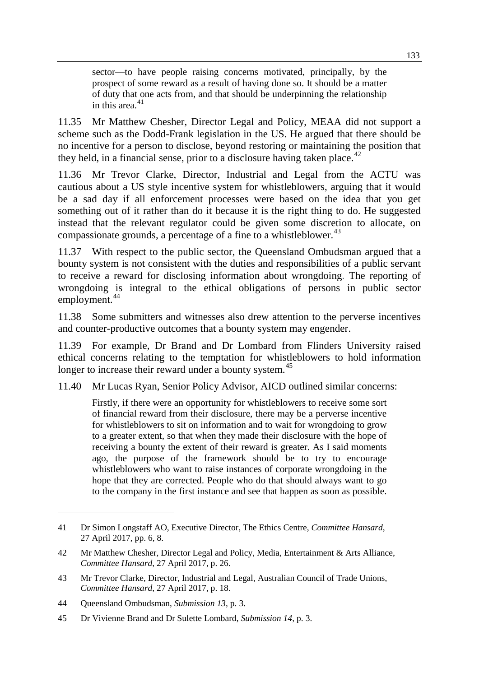sector—to have people raising concerns motivated, principally, by the prospect of some reward as a result of having done so. It should be a matter of duty that one acts from, and that should be underpinning the relationship in this area. $41$ 

11.35 Mr Matthew Chesher, Director Legal and Policy, MEAA did not support a scheme such as the Dodd-Frank legislation in the US. He argued that there should be no incentive for a person to disclose, beyond restoring or maintaining the position that they held, in a financial sense, prior to a disclosure having taken place.<sup>[42](#page-10-1)</sup>

11.36 Mr Trevor Clarke, Director, Industrial and Legal from the ACTU was cautious about a US style incentive system for whistleblowers, arguing that it would be a sad day if all enforcement processes were based on the idea that you get something out of it rather than do it because it is the right thing to do. He suggested instead that the relevant regulator could be given some discretion to allocate, on compassionate grounds, a percentage of a fine to a whistleblower.<sup>[43](#page-10-2)</sup>

11.37 With respect to the public sector, the Queensland Ombudsman argued that a bounty system is not consistent with the duties and responsibilities of a public servant to receive a reward for disclosing information about wrongdoing. The reporting of wrongdoing is integral to the ethical obligations of persons in public sector employment.<sup>[44](#page-10-3)</sup>

11.38 Some submitters and witnesses also drew attention to the perverse incentives and counter-productive outcomes that a bounty system may engender.

11.39 For example, Dr Brand and Dr Lombard from Flinders University raised ethical concerns relating to the temptation for whistleblowers to hold information longer to increase their reward under a bounty system.<sup>[45](#page-10-4)</sup>

11.40 Mr Lucas Ryan, Senior Policy Advisor, AICD outlined similar concerns:

Firstly, if there were an opportunity for whistleblowers to receive some sort of financial reward from their disclosure, there may be a perverse incentive for whistleblowers to sit on information and to wait for wrongdoing to grow to a greater extent, so that when they made their disclosure with the hope of receiving a bounty the extent of their reward is greater. As I said moments ago, the purpose of the framework should be to try to encourage whistleblowers who want to raise instances of corporate wrongdoing in the hope that they are corrected. People who do that should always want to go to the company in the first instance and see that happen as soon as possible.

<span id="page-10-0"></span><sup>41</sup> Dr Simon Longstaff AO, Executive Director, The Ethics Centre, *Committee Hansard*, 27 April 2017, pp. 6, 8.

<span id="page-10-1"></span><sup>42</sup> Mr Matthew Chesher, Director Legal and Policy, Media, Entertainment & Arts Alliance, *Committee Hansard*, 27 April 2017, p. 26.

<span id="page-10-2"></span><sup>43</sup> Mr Trevor Clarke, Director, Industrial and Legal, Australian Council of Trade Unions, *Committee Hansard*, 27 April 2017, p. 18.

<span id="page-10-3"></span><sup>44</sup> Queensland Ombudsman, *Submission 13*, p. 3.

<span id="page-10-4"></span><sup>45</sup> Dr Vivienne Brand and Dr Sulette Lombard, *Submission 14*, p. 3.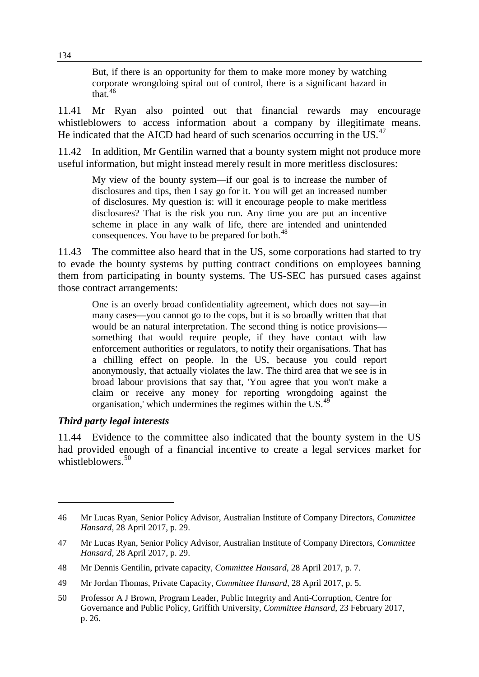But, if there is an opportunity for them to make more money by watching corporate wrongdoing spiral out of control, there is a significant hazard in that. $46$ 

11.41 Mr Ryan also pointed out that financial rewards may encourage whistleblowers to access information about a company by illegitimate means. He indicated that the AICD had heard of such scenarios occurring in the US.<sup>[47](#page-11-1)</sup>

11.42 In addition, Mr Gentilin warned that a bounty system might not produce more useful information, but might instead merely result in more meritless disclosures:

My view of the bounty system—if our goal is to increase the number of disclosures and tips, then I say go for it. You will get an increased number of disclosures. My question is: will it encourage people to make meritless disclosures? That is the risk you run. Any time you are put an incentive scheme in place in any walk of life, there are intended and unintended consequences. You have to be prepared for both.<sup>[48](#page-11-2)</sup>

11.43 The committee also heard that in the US, some corporations had started to try to evade the bounty systems by putting contract conditions on employees banning them from participating in bounty systems. The US-SEC has pursued cases against those contract arrangements:

One is an overly broad confidentiality agreement, which does not say—in many cases—you cannot go to the cops, but it is so broadly written that that would be an natural interpretation. The second thing is notice provisions something that would require people, if they have contact with law enforcement authorities or regulators, to notify their organisations. That has a chilling effect on people. In the US, because you could report anonymously, that actually violates the law. The third area that we see is in broad labour provisions that say that, 'You agree that you won't make a claim or receive any money for reporting wrongdoing against the organisation,' which undermines the regimes within the US.[49](#page-11-3)

#### *Third party legal interests*

-

11.44 Evidence to the committee also indicated that the bounty system in the US had provided enough of a financial incentive to create a legal services market for whistleblowers.<sup>[50](#page-11-4)</sup>

<span id="page-11-0"></span><sup>46</sup> Mr Lucas Ryan, Senior Policy Advisor, Australian Institute of Company Directors, *Committee Hansard,* 28 April 2017, p. 29.

<span id="page-11-1"></span><sup>47</sup> Mr Lucas Ryan, Senior Policy Advisor, Australian Institute of Company Directors, *Committee Hansard*, 28 April 2017, p. 29.

<span id="page-11-2"></span><sup>48</sup> Mr Dennis Gentilin, private capacity, *Committee Hansard*, 28 April 2017, p. 7.

<span id="page-11-3"></span><sup>49</sup> Mr Jordan Thomas, Private Capacity, *Committee Hansard*, 28 April 2017, p. 5.

<span id="page-11-4"></span><sup>50</sup> Professor A J Brown, Program Leader, Public Integrity and Anti-Corruption, Centre for Governance and Public Policy, Griffith University, *Committee Hansard*, 23 February 2017, p. 26.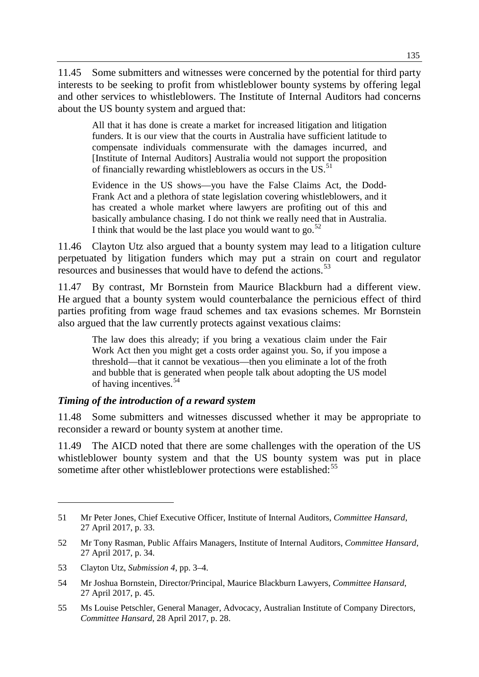11.45 Some submitters and witnesses were concerned by the potential for third party interests to be seeking to profit from whistleblower bounty systems by offering legal and other services to whistleblowers. The Institute of Internal Auditors had concerns about the US bounty system and argued that:

All that it has done is create a market for increased litigation and litigation funders. It is our view that the courts in Australia have sufficient latitude to compensate individuals commensurate with the damages incurred, and [Institute of Internal Auditors] Australia would not support the proposition of financially rewarding whistleblowers as occurs in the US.<sup>[51](#page-12-0)</sup>

Evidence in the US shows—you have the False Claims Act, the Dodd-Frank Act and a plethora of state legislation covering whistleblowers, and it has created a whole market where lawyers are profiting out of this and basically ambulance chasing. I do not think we really need that in Australia. I think that would be the last place you would want to go. $52$ 

11.46 Clayton Utz also argued that a bounty system may lead to a litigation culture perpetuated by litigation funders which may put a strain on court and regulator resources and businesses that would have to defend the actions.<sup>[53](#page-12-2)</sup>

11.47 By contrast, Mr Bornstein from Maurice Blackburn had a different view. He argued that a bounty system would counterbalance the pernicious effect of third parties profiting from wage fraud schemes and tax evasions schemes. Mr Bornstein also argued that the law currently protects against vexatious claims:

The law does this already; if you bring a vexatious claim under the Fair Work Act then you might get a costs order against you. So, if you impose a threshold—that it cannot be vexatious—then you eliminate a lot of the froth and bubble that is generated when people talk about adopting the US model of having incentives.[54](#page-12-3)

#### *Timing of the introduction of a reward system*

11.48 Some submitters and witnesses discussed whether it may be appropriate to reconsider a reward or bounty system at another time.

11.49 The AICD noted that there are some challenges with the operation of the US whistleblower bounty system and that the US bounty system was put in place sometime after other whistleblower protections were established:<sup>[55](#page-12-4)</sup>

<span id="page-12-0"></span><sup>51</sup> Mr Peter Jones, Chief Executive Officer, Institute of Internal Auditors, *Committee Hansard*, 27 April 2017, p. 33.

<span id="page-12-1"></span><sup>52</sup> Mr Tony Rasman, Public Affairs Managers, Institute of Internal Auditors, *Committee Hansard*, 27 April 2017, p. 34.

<span id="page-12-2"></span><sup>53</sup> Clayton Utz, *Submission 4*, pp. 3–4.

<span id="page-12-3"></span><sup>54</sup> Mr Joshua Bornstein, Director/Principal, Maurice Blackburn Lawyers, *Committee Hansard*, 27 April 2017, p. 45.

<span id="page-12-4"></span><sup>55</sup> Ms Louise Petschler, General Manager, Advocacy, Australian Institute of Company Directors, *Committee Hansard*, 28 April 2017, p. 28.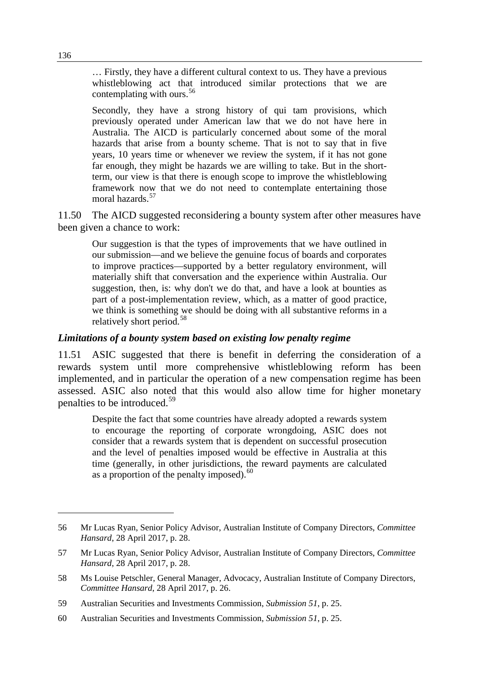… Firstly, they have a different cultural context to us. They have a previous whistleblowing act that introduced similar protections that we are contemplating with ours.<sup>[56](#page-13-0)</sup>

Secondly, they have a strong history of qui tam provisions, which previously operated under American law that we do not have here in Australia. The AICD is particularly concerned about some of the moral hazards that arise from a bounty scheme. That is not to say that in five years, 10 years time or whenever we review the system, if it has not gone far enough, they might be hazards we are willing to take. But in the shortterm, our view is that there is enough scope to improve the whistleblowing framework now that we do not need to contemplate entertaining those moral hazards.<sup>[57](#page-13-1)</sup>

11.50 The AICD suggested reconsidering a bounty system after other measures have been given a chance to work:

Our suggestion is that the types of improvements that we have outlined in our submission—and we believe the genuine focus of boards and corporates to improve practices—supported by a better regulatory environment, will materially shift that conversation and the experience within Australia. Our suggestion, then, is: why don't we do that, and have a look at bounties as part of a post-implementation review, which, as a matter of good practice, we think is something we should be doing with all substantive reforms in a relatively short period.[58](#page-13-2)

#### *Limitations of a bounty system based on existing low penalty regime*

11.51 ASIC suggested that there is benefit in deferring the consideration of a rewards system until more comprehensive whistleblowing reform has been implemented, and in particular the operation of a new compensation regime has been assessed. ASIC also noted that this would also allow time for higher monetary penalties to be introduced.<sup>[59](#page-13-3)</sup>

Despite the fact that some countries have already adopted a rewards system to encourage the reporting of corporate wrongdoing, ASIC does not consider that a rewards system that is dependent on successful prosecution and the level of penalties imposed would be effective in Australia at this time (generally, in other jurisdictions, the reward payments are calculated as a proportion of the penalty imposed).  $60$ 

<span id="page-13-0"></span><sup>56</sup> Mr Lucas Ryan, Senior Policy Advisor, Australian Institute of Company Directors, *Committee Hansard*, 28 April 2017, p. 28.

<span id="page-13-1"></span><sup>57</sup> Mr Lucas Ryan, Senior Policy Advisor, Australian Institute of Company Directors, *Committee Hansard*, 28 April 2017, p. 28.

<span id="page-13-2"></span><sup>58</sup> Ms Louise Petschler, General Manager, Advocacy, Australian Institute of Company Directors, *Committee Hansard*, 28 April 2017, p. 26.

<span id="page-13-3"></span><sup>59</sup> Australian Securities and Investments Commission, *Submission 51*, p. 25.

<span id="page-13-4"></span><sup>60</sup> Australian Securities and Investments Commission, *Submission 51*, p. 25.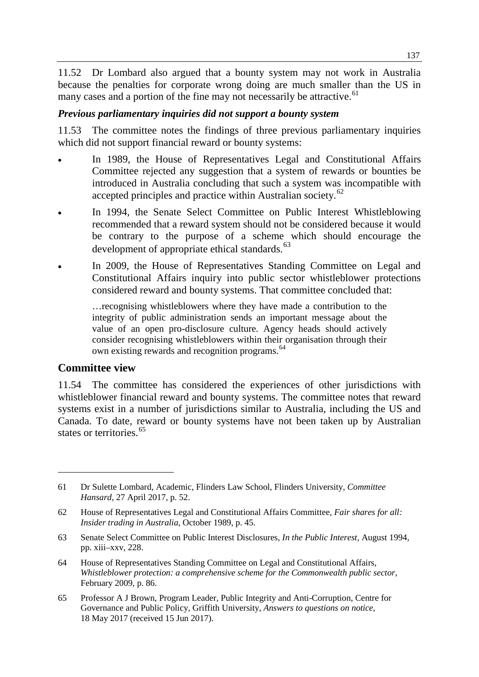11.52 Dr Lombard also argued that a bounty system may not work in Australia because the penalties for corporate wrong doing are much smaller than the US in many cases and a portion of the fine may not necessarily be attractive.  $61$ 

#### *Previous parliamentary inquiries did not support a bounty system*

11.53 The committee notes the findings of three previous parliamentary inquiries which did not support financial reward or bounty systems:

- In 1989, the House of Representatives Legal and Constitutional Affairs Committee rejected any suggestion that a system of rewards or bounties be introduced in Australia concluding that such a system was incompatible with accepted principles and practice within Australian society.<sup>[62](#page-14-1)</sup>
- In 1994, the Senate Select Committee on Public Interest Whistleblowing recommended that a reward system should not be considered because it would be contrary to the purpose of a scheme which should encourage the development of appropriate ethical standards.<sup>[63](#page-14-2)</sup>
- In 2009, the House of Representatives Standing Committee on Legal and Constitutional Affairs inquiry into public sector whistleblower protections considered reward and bounty systems. That committee concluded that:

…recognising whistleblowers where they have made a contribution to the integrity of public administration sends an important message about the value of an open pro-disclosure culture. Agency heads should actively consider recognising whistleblowers within their organisation through their own existing rewards and recognition programs.<sup>[64](#page-14-3)</sup>

#### **Committee view**

-

11.54 The committee has considered the experiences of other jurisdictions with whistleblower financial reward and bounty systems. The committee notes that reward systems exist in a number of jurisdictions similar to Australia, including the US and Canada. To date, reward or bounty systems have not been taken up by Australian states or territories. [65](#page-14-4)

<span id="page-14-4"></span>65 Professor A J Brown, Program Leader, Public Integrity and Anti-Corruption, Centre for Governance and Public Policy, Griffith University, *Answers to questions on notice*, 18 May 2017 (received 15 Jun 2017).

<span id="page-14-0"></span><sup>61</sup> Dr Sulette Lombard, Academic, Flinders Law School, Flinders University, *Committee Hansard*, 27 April 2017, p. 52.

<span id="page-14-1"></span><sup>62</sup> House of Representatives Legal and Constitutional Affairs Committee, *Fair shares for all: Insider trading in Australia*, October 1989, p. 45.

<span id="page-14-2"></span><sup>63</sup> Senate Select Committee on Public Interest Disclosures, *In the Public Interest,* August 1994, pp. xiii–xxv, 228.

<span id="page-14-3"></span><sup>64</sup> House of Representatives Standing Committee on Legal and Constitutional Affairs, *Whistleblower protection: a comprehensive scheme for the Commonwealth public sector*, February 2009, p. 86.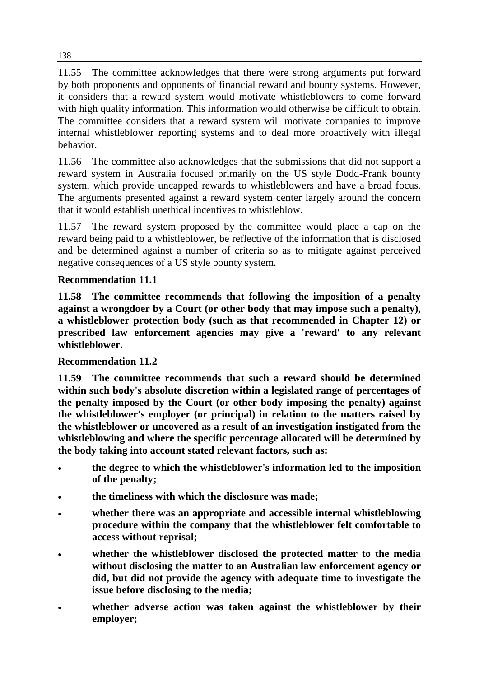11.55 The committee acknowledges that there were strong arguments put forward by both proponents and opponents of financial reward and bounty systems. However, it considers that a reward system would motivate whistleblowers to come forward with high quality information. This information would otherwise be difficult to obtain. The committee considers that a reward system will motivate companies to improve internal whistleblower reporting systems and to deal more proactively with illegal behavior.

11.56 The committee also acknowledges that the submissions that did not support a reward system in Australia focused primarily on the US style Dodd-Frank bounty system, which provide uncapped rewards to whistleblowers and have a broad focus. The arguments presented against a reward system center largely around the concern that it would establish unethical incentives to whistleblow.

11.57 The reward system proposed by the committee would place a cap on the reward being paid to a whistleblower, be reflective of the information that is disclosed and be determined against a number of criteria so as to mitigate against perceived negative consequences of a US style bounty system.

## **Recommendation 11.1**

**11.58 The committee recommends that following the imposition of a penalty against a wrongdoer by a Court (or other body that may impose such a penalty), a whistleblower protection body (such as that recommended in Chapter 12) or prescribed law enforcement agencies may give a 'reward' to any relevant whistleblower.**

## **Recommendation 11.2**

**11.59 The committee recommends that such a reward should be determined within such body's absolute discretion within a legislated range of percentages of the penalty imposed by the Court (or other body imposing the penalty) against the whistleblower's employer (or principal) in relation to the matters raised by the whistleblower or uncovered as a result of an investigation instigated from the whistleblowing and where the specific percentage allocated will be determined by the body taking into account stated relevant factors, such as:**

- **the degree to which the whistleblower's information led to the imposition of the penalty;**
- **the timeliness with which the disclosure was made;**
- **whether there was an appropriate and accessible internal whistleblowing procedure within the company that the whistleblower felt comfortable to access without reprisal;**
- **whether the whistleblower disclosed the protected matter to the media without disclosing the matter to an Australian law enforcement agency or did, but did not provide the agency with adequate time to investigate the issue before disclosing to the media;**
- **whether adverse action was taken against the whistleblower by their employer;**